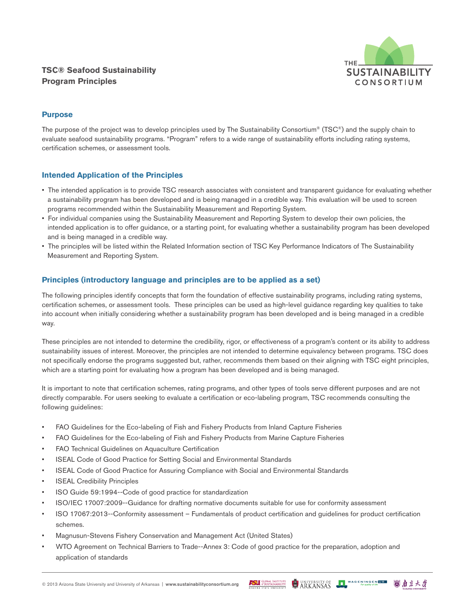# **TSC® Seafood Sustainability Program Principles**



# **Purpose**

The purpose of the project was to develop principles used by The Sustainability Consortium® (TSC®) and the supply chain to evaluate seafood sustainability programs. "Program" refers to a wide range of sustainability efforts including rating systems, certification schemes, or assessment tools.

### **Intended Application of the Principles**

- The intended application is to provide TSC research associates with consistent and transparent guidance for evaluating whether a sustainability program has been developed and is being managed in a credible way. This evaluation will be used to screen programs recommended within the Sustainability Measurement and Reporting System.
- For individual companies using the Sustainability Measurement and Reporting System to develop their own policies, the intended application is to offer guidance, or a starting point, for evaluating whether a sustainability program has been developed and is being managed in a credible way.
- The principles will be listed within the Related Information section of TSC Key Performance Indicators of The Sustainability Measurement and Reporting System.

### **Principles (introductory language and principles are to be applied as a set)**

The following principles identify concepts that form the foundation of effective sustainability programs, including rating systems, certification schemes, or assessment tools. These principles can be used as high-level guidance regarding key qualities to take into account when initially considering whether a sustainability program has been developed and is being managed in a credible way.

These principles are not intended to determine the credibility, rigor, or effectiveness of a program's content or its ability to address sustainability issues of interest. Moreover, the principles are not intended to determine equivalency between programs. TSC does not specifically endorse the programs suggested but, rather, recommends them based on their aligning with TSC eight principles, which are a starting point for evaluating how a program has been developed and is being managed.

It is important to note that certification schemes, rating programs, and other types of tools serve different purposes and are not directly comparable. For users seeking to evaluate a certification or eco-labeling program, TSC recommends consulting the following guidelines:

- FAO Guidelines for the Eco-labeling of Fish and Fishery Products from Inland Capture Fisheries
- FAO Guidelines for the Eco-labeling of Fish and Fishery Products from Marine Capture Fisheries
- FAO Technical Guidelines on Aquaculture Certification
- ISEAL Code of Good Practice for Setting Social and Environmental Standards
- ISEAL Code of Good Practice for Assuring Compliance with Social and Environmental Standards
- **ISEAL Credibility Principles**
- ISO Guide 59:1994--Code of good practice for standardization
- ISO/IEC 17007:2009--Guidance for drafting normative documents suitable for use for conformity assessment
- ISO 17067:2013--Conformity assessment Fundamentals of product certification and guidelines for product certification schemes.
- Magnusun-Stevens Fishery Conservation and Management Act (United States)
- WTO Agreement on Technical Barriers to Trade--Annex 3: Code of good practice for the preparation, adoption and application of standards

UNIVERSITY OF WAGENINGEN UR **ASLI** GLOBAL INSTITUTE

回角京大学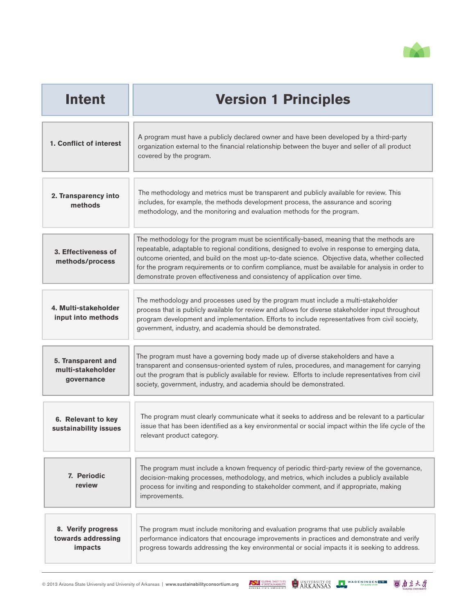

| <b>Intent</b>                                         | <b>Version 1 Principles</b>                                                                                                                                                                                                                                                                                                                                                                                                                                                      |
|-------------------------------------------------------|----------------------------------------------------------------------------------------------------------------------------------------------------------------------------------------------------------------------------------------------------------------------------------------------------------------------------------------------------------------------------------------------------------------------------------------------------------------------------------|
| 1. Conflict of interest                               | A program must have a publicly declared owner and have been developed by a third-party<br>organization external to the financial relationship between the buyer and seller of all product<br>covered by the program.                                                                                                                                                                                                                                                             |
| 2. Transparency into<br>methods                       | The methodology and metrics must be transparent and publicly available for review. This<br>includes, for example, the methods development process, the assurance and scoring<br>methodology, and the monitoring and evaluation methods for the program.                                                                                                                                                                                                                          |
| 3. Effectiveness of<br>methods/process                | The methodology for the program must be scientifically-based, meaning that the methods are<br>repeatable, adaptable to regional conditions, designed to evolve in response to emerging data,<br>outcome oriented, and build on the most up-to-date science. Objective data, whether collected<br>for the program requirements or to confirm compliance, must be available for analysis in order to<br>demonstrate proven effectiveness and consistency of application over time. |
| 4. Multi-stakeholder<br>input into methods            | The methodology and processes used by the program must include a multi-stakeholder<br>process that is publicly available for review and allows for diverse stakeholder input throughout<br>program development and implementation. Efforts to include representatives from civil society,<br>government, industry, and academia should be demonstrated.                                                                                                                          |
| 5. Transparent and<br>multi-stakeholder<br>governance | The program must have a governing body made up of diverse stakeholders and have a<br>transparent and consensus-oriented system of rules, procedures, and management for carrying<br>out the program that is publicly available for review. Efforts to include representatives from civil<br>society, government, industry, and academia should be demonstrated.                                                                                                                  |
| 6. Relevant to key<br>sustainability issues           | The program must clearly communicate what it seeks to address and be relevant to a particular<br>issue that has been identified as a key environmental or social impact within the life cycle of the<br>relevant product category.                                                                                                                                                                                                                                               |
| 7. Periodic<br>review                                 | The program must include a known frequency of periodic third-party review of the governance,<br>decision-making processes, methodology, and metrics, which includes a publicly available<br>process for inviting and responding to stakeholder comment, and if appropriate, making<br>improvements.                                                                                                                                                                              |
| 8. Verify progress<br>towards addressing<br>impacts   | The program must include monitoring and evaluation programs that use publicly available<br>performance indicators that encourage improvements in practices and demonstrate and verify<br>progress towards addressing the key environmental or social impacts it is seeking to address.                                                                                                                                                                                           |

**ASLI**SIONAL INSTITUTE **CONTRACTLY OF A SERINGEN URB CONTRACTLY**